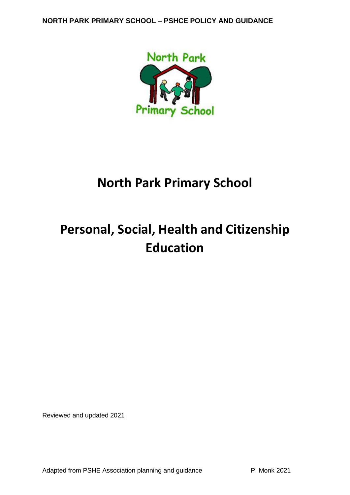

# **North Park Primary School**

# **Personal, Social, Health and Citizenship Education**

Reviewed and updated 2021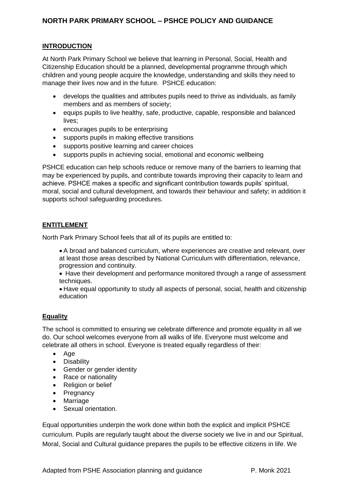## **INTRODUCTION**

At North Park Primary School we believe that learning in Personal, Social, Health and Citizenship Education should be a planned, developmental programme through which children and young people acquire the knowledge, understanding and skills they need to manage their lives now and in the future. PSHCE education:

- develops the qualities and attributes pupils need to thrive as individuals, as family members and as members of society;
- equips pupils to live healthy, safe, productive, capable, responsible and balanced lives:
- encourages pupils to be enterprising
- supports pupils in making effective transitions
- supports positive learning and career choices
- supports pupils in achieving social, emotional and economic wellbeing

PSHCE education can help schools reduce or remove many of the barriers to learning that may be experienced by pupils, and contribute towards improving their capacity to learn and achieve. PSHCE makes a specific and significant contribution towards pupils' spiritual, moral, social and cultural development, and towards their behaviour and safety; in addition it supports school safeguarding procedures.

## **ENTITLEMENT**

North Park Primary School feels that all of its pupils are entitled to:

• A broad and balanced curriculum, where experiences are creative and relevant, over at least those areas described by National Curriculum with differentiation, relevance, progression and continuity.

• Have their development and performance monitored through a range of assessment techniques.

• Have equal opportunity to study all aspects of personal, social, health and citizenship education

## **Equality**

The school is committed to ensuring we celebrate difference and promote equality in all we do. Our school welcomes everyone from all walks of life. Everyone must welcome and celebrate all others in school. Everyone is treated equally regardless of their:

- Age
- Disability
- Gender or gender identity
- Race or nationality
- Religion or belief
- Pregnancy
- Marriage
- Sexual orientation.

Equal opportunities underpin the work done within both the explicit and implicit PSHCE curriculum. Pupils are regularly taught about the diverse society we live in and our Spiritual, Moral, Social and Cultural guidance prepares the pupils to be effective citizens in life. We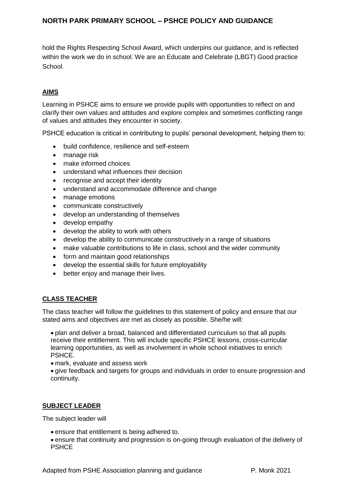hold the Rights Respecting School Award, which underpins our guidance, and is reflected within the work we do in school. We are an Educate and Celebrate (LBGT) Good practice School.

## **AIMS**

Learning in PSHCE aims to ensure we provide pupils with opportunities to reflect on and clarify their own values and attitudes and explore complex and sometimes conflicting range of values and attitudes they encounter in society.

PSHCE education is critical in contributing to pupils' personal development, helping them to:

- build confidence, resilience and self-esteem
- manage risk
- make informed choices
- understand what influences their decision
- recognise and accept their identity
- understand and accommodate difference and change
- manage emotions
- communicate constructively
- develop an understanding of themselves
- develop empathy
- develop the ability to work with others
- develop the ability to communicate constructively in a range of situations
- make valuable contributions to life in class, school and the wider community
- form and maintain good relationships
- develop the essential skills for future employability
- better enjoy and manage their lives.

#### **CLASS TEACHER**

The class teacher will follow the guidelines to this statement of policy and ensure that our stated aims and objectives are met as closely as possible. She/he will:

• plan and deliver a broad, balanced and differentiated curriculum so that all pupils receive their entitlement. This will include specific PSHCE lessons, cross-curricular learning opportunities, as well as involvement in whole school initiatives to enrich PSHCE.

• mark, evaluate and assess work

• give feedback and targets for groups and individuals in order to ensure progression and continuity.

#### **SUBJECT LEADER**

The subject leader will

- ensure that entitlement is being adhered to.
- ensure that continuity and progression is on-going through evaluation of the delivery of **PSHCE**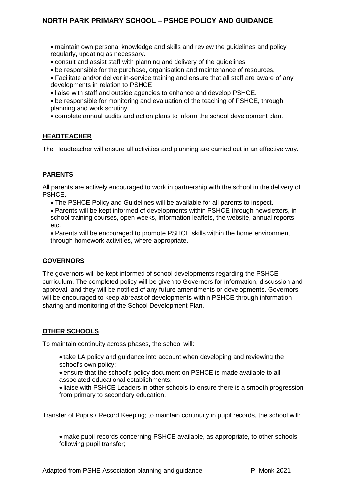- maintain own personal knowledge and skills and review the guidelines and policy regularly, updating as necessary.
- consult and assist staff with planning and delivery of the guidelines
- be responsible for the purchase, organisation and maintenance of resources.
- Facilitate and/or deliver in-service training and ensure that all staff are aware of any developments in relation to PSHCE
- liaise with staff and outside agencies to enhance and develop PSHCE.
- be responsible for monitoring and evaluation of the teaching of PSHCE, through planning and work scrutiny
- complete annual audits and action plans to inform the school development plan.

## **HEADTEACHER**

The Headteacher will ensure all activities and planning are carried out in an effective way.

## **PARENTS**

All parents are actively encouraged to work in partnership with the school in the delivery of PSHCE.

- The PSHCE Policy and Guidelines will be available for all parents to inspect.
- Parents will be kept informed of developments within PSHCE through newsletters, inschool training courses, open weeks, information leaflets, the website, annual reports, etc.
- Parents will be encouraged to promote PSHCE skills within the home environment through homework activities, where appropriate.

## **GOVERNORS**

The governors will be kept informed of school developments regarding the PSHCE curriculum. The completed policy will be given to Governors for information, discussion and approval, and they will be notified of any future amendments or developments. Governors will be encouraged to keep abreast of developments within PSHCE through information sharing and monitoring of the School Development Plan.

## **OTHER SCHOOLS**

To maintain continuity across phases, the school will:

• take LA policy and guidance into account when developing and reviewing the school's own policy;

• ensure that the school's policy document on PSHCE is made available to all associated educational establishments;

• liaise with PSHCE Leaders in other schools to ensure there is a smooth progression from primary to secondary education.

Transfer of Pupils / Record Keeping; to maintain continuity in pupil records, the school will:

• make pupil records concerning PSHCE available, as appropriate, to other schools following pupil transfer;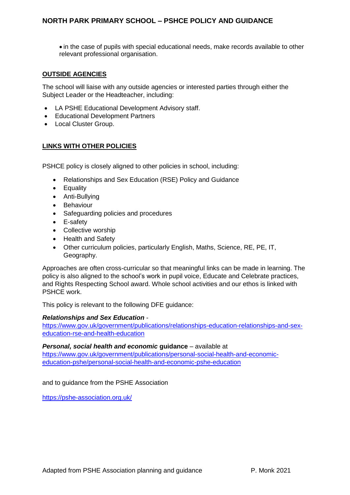• in the case of pupils with special educational needs, make records available to other relevant professional organisation.

## **OUTSIDE AGENCIES**

The school will liaise with any outside agencies or interested parties through either the Subject Leader or the Headteacher, including:

- LA PSHE Educational Development Advisory staff.
- Educational Development Partners
- Local Cluster Group.

## **LINKS WITH OTHER POLICIES**

PSHCE policy is closely aligned to other policies in school, including:

- Relationships and Sex Education (RSE) Policy and Guidance
- Equality
- Anti-Bullying
- Behaviour
- Safeguarding policies and procedures
- E-safety
- Collective worship
- Health and Safety
- Other curriculum policies, particularly English, Maths, Science, RE, PE, IT, Geography.

Approaches are often cross-curricular so that meaningful links can be made in learning. The policy is also aligned to the school's work in pupil voice, Educate and Celebrate practices, and Rights Respecting School award. Whole school activities and our ethos is linked with PSHCE work.

This policy is relevant to the following DFE guidance:

#### *Relationships and Sex Education* -

[https://www.gov.uk/government/publications/relationships-education-relationships-and-sex](https://www.gov.uk/government/publications/relationships-education-relationships-and-sex-education-rse-and-health-education)[education-rse-and-health-education](https://www.gov.uk/government/publications/relationships-education-relationships-and-sex-education-rse-and-health-education)

#### *Personal, social health and economic* **guidance** – available at

[https://www.gov.uk/government/publications/personal-social-health-and-economic](https://www.gov.uk/government/publications/personal-social-health-and-economic-education-pshe/personal-social-health-and-economic-pshe-education)[education-pshe/personal-social-health-and-economic-pshe-education](https://www.gov.uk/government/publications/personal-social-health-and-economic-education-pshe/personal-social-health-and-economic-pshe-education)

and to guidance from the PSHE Association

<https://pshe-association.org.uk/>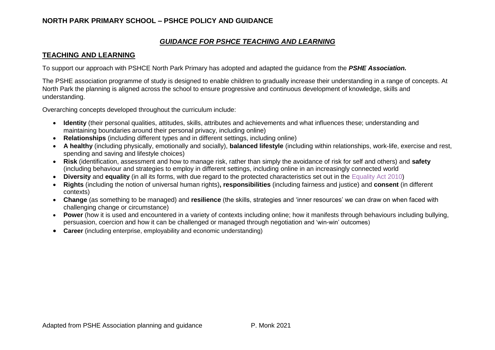## *GUIDANCE FOR PSHCE TEACHING AND LEARNING*

## **TEACHING AND LEARNING**

To support our approach with PSHCE North Park Primary has adopted and adapted the guidance from the *PSHE Association.*

The PSHE association programme of study is designed to enable children to gradually increase their understanding in a range of concepts. At North Park the planning is aligned across the school to ensure progressive and continuous development of knowledge, skills and understanding.

Overarching concepts developed throughout the curriculum include:

- **Identity** (their personal qualities, attitudes, skills, attributes and achievements and what influences these; understanding and maintaining boundaries around their personal privacy, including online)
- **Relationships** (including different types and in different settings, including online)
- **A healthy** (including physically, emotionally and socially), **balanced lifestyle** (including within relationships, work-life, exercise and rest, spending and saving and lifestyle choices)
- **Risk** (identification, assessment and how to manage risk, rather than simply the avoidance of risk for self and others) and **safety**  (including behaviour and strategies to employ in different settings, including online in an increasingly connected world
- **Diversity** and **equality** (in all its forms, with due regard to the protected characteristics set out in the Equality Act 2010)
- **Rights** (including the notion of universal human rights)**, responsibilities** (including fairness and justice) and **consent** (in different contexts)
- **Change** (as something to be managed) and **resilience** (the skills, strategies and 'inner resources' we can draw on when faced with challenging change or circumstance)
- Power (how it is used and encountered in a variety of contexts including online; how it manifests through behaviours including bullying, persuasion, coercion and how it can be challenged or managed through negotiation and 'win-win' outcomes)
- **Career** (including enterprise, employability and economic understanding)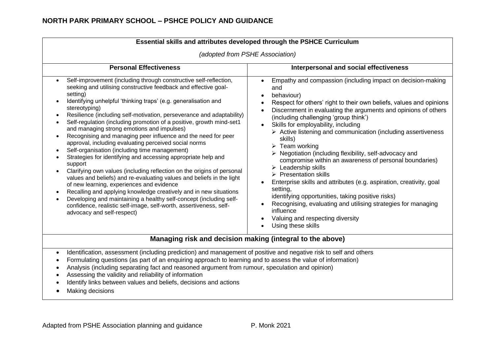|                                                                                                                                                                                                                                                                                                                                                                                                                                                                                                                                                                                                                                                                                                                                                                                                                                                                                                                                                                                                                                                                                                                                                                                                            | (adopted from PSHE Association)                                                                                                                                                                                                                                                                                                                                                                                                                                                                                                                                                                                                                                                                                                                                                                                                                                                                                                         |
|------------------------------------------------------------------------------------------------------------------------------------------------------------------------------------------------------------------------------------------------------------------------------------------------------------------------------------------------------------------------------------------------------------------------------------------------------------------------------------------------------------------------------------------------------------------------------------------------------------------------------------------------------------------------------------------------------------------------------------------------------------------------------------------------------------------------------------------------------------------------------------------------------------------------------------------------------------------------------------------------------------------------------------------------------------------------------------------------------------------------------------------------------------------------------------------------------------|-----------------------------------------------------------------------------------------------------------------------------------------------------------------------------------------------------------------------------------------------------------------------------------------------------------------------------------------------------------------------------------------------------------------------------------------------------------------------------------------------------------------------------------------------------------------------------------------------------------------------------------------------------------------------------------------------------------------------------------------------------------------------------------------------------------------------------------------------------------------------------------------------------------------------------------------|
| <b>Personal Effectiveness</b>                                                                                                                                                                                                                                                                                                                                                                                                                                                                                                                                                                                                                                                                                                                                                                                                                                                                                                                                                                                                                                                                                                                                                                              | Interpersonal and social effectiveness                                                                                                                                                                                                                                                                                                                                                                                                                                                                                                                                                                                                                                                                                                                                                                                                                                                                                                  |
| Self-improvement (including through constructive self-reflection,<br>$\bullet$<br>seeking and utilising constructive feedback and effective goal-<br>setting)<br>Identifying unhelpful 'thinking traps' (e.g. generalisation and<br>$\bullet$<br>stereotyping)<br>Resilience (including self-motivation, perseverance and adaptability)<br>Self-regulation (including promotion of a positive, growth mind-set1<br>and managing strong emotions and impulses)<br>Recognising and managing peer influence and the need for peer<br>$\bullet$<br>approval, including evaluating perceived social norms<br>Self-organisation (including time management)<br>$\bullet$<br>Strategies for identifying and accessing appropriate help and<br>support<br>Clarifying own values (including reflection on the origins of personal<br>values and beliefs) and re-evaluating values and beliefs in the light<br>of new learning, experiences and evidence<br>Recalling and applying knowledge creatively and in new situations<br>$\bullet$<br>Developing and maintaining a healthy self-concept (including self-<br>confidence, realistic self-image, self-worth, assertiveness, self-<br>advocacy and self-respect) | Empathy and compassion (including impact on decision-making<br>and<br>behaviour)<br>Respect for others' right to their own beliefs, values and opinions<br>Discernment in evaluating the arguments and opinions of others<br>(including challenging 'group think')<br>Skills for employability, including<br>$\triangleright$ Active listening and communication (including assertiveness<br>skills)<br>$\triangleright$ Team working<br>$\triangleright$ Negotiation (including flexibility, self-advocacy and<br>compromise within an awareness of personal boundaries)<br>$\triangleright$ Leadership skills<br>$\triangleright$ Presentation skills<br>Enterprise skills and attributes (e.g. aspiration, creativity, goal<br>setting,<br>identifying opportunities, taking positive risks)<br>Recognising, evaluating and utilising strategies for managing<br>influence<br>Valuing and respecting diversity<br>Using these skills |
| Managing risk and decision making (integral to the above)                                                                                                                                                                                                                                                                                                                                                                                                                                                                                                                                                                                                                                                                                                                                                                                                                                                                                                                                                                                                                                                                                                                                                  |                                                                                                                                                                                                                                                                                                                                                                                                                                                                                                                                                                                                                                                                                                                                                                                                                                                                                                                                         |

- Analysis (including separating fact and reasoned argument from rumour, speculation and opinion)
- Assessing the validity and reliability of information
- Identify links between values and beliefs, decisions and actions
- Making decisions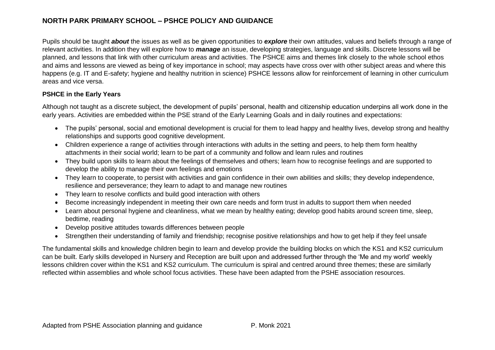Pupils should be taught *about* the issues as well as be given opportunities to *explore* their own attitudes, values and beliefs through a range of relevant activities. In addition they will explore how to *manage* an issue, developing strategies, language and skills. Discrete lessons will be planned, and lessons that link with other curriculum areas and activities. The PSHCE aims and themes link closely to the whole school ethos and aims and lessons are viewed as being of key importance in school; may aspects have cross over with other subject areas and where this happens (e.g. IT and E-safety; hygiene and healthy nutrition in science) PSHCE lessons allow for reinforcement of learning in other curriculum areas and vice versa.

## **PSHCE in the Early Years**

Although not taught as a discrete subject, the development of pupils' personal, health and citizenship education underpins all work done in the early years. Activities are embedded within the PSE strand of the Early Learning Goals and in daily routines and expectations:

- The pupils' personal, social and emotional development is crucial for them to lead happy and healthy lives, develop strong and healthy relationships and supports good cognitive development.
- Children experience a range of activities through interactions with adults in the setting and peers, to help them form healthy attachments in their social world; learn to be part of a community and follow and learn rules and routines
- They build upon skills to learn about the feelings of themselves and others; learn how to recognise feelings and are supported to develop the ability to manage their own feelings and emotions
- They learn to cooperate, to persist with activities and gain confidence in their own abilities and skills; they develop independence, resilience and perseverance; they learn to adapt to and manage new routines
- They learn to resolve conflicts and build good interaction with others
- Become increasingly independent in meeting their own care needs and form trust in adults to support them when needed
- Learn about personal hygiene and cleanliness, what we mean by healthy eating; develop good habits around screen time, sleep, bedtime, reading
- Develop positive attitudes towards differences between people
- Strengthen their understanding of family and friendship; recognise positive relationships and how to get help if they feel unsafe

The fundamental skills and knowledge children begin to learn and develop provide the building blocks on which the KS1 and KS2 curriculum can be built. Early skills developed in Nursery and Reception are built upon and addressed further through the 'Me and my world' weekly lessons children cover within the KS1 and KS2 curriculum. The curriculum is spiral and centred around three themes; these are similarly reflected within assemblies and whole school focus activities. These have been adapted from the PSHE association resources.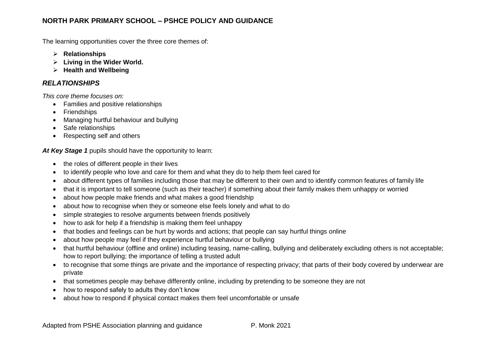The learning opportunities cover the three core themes of:

- ➢ **Relationships**
- ➢ **Living in the Wider World.**
- ➢ **Health and Wellbeing**

## *RELATIONSHIPS*

*This core theme focuses on:*

- Families and positive relationships
- Friendships
- Managing hurtful behaviour and bullying
- Safe relationships
- Respecting self and others

*At Key Stage 1* pupils should have the opportunity to learn:

- the roles of different people in their lives
- to identify people who love and care for them and what they do to help them feel cared for
- about different types of families including those that may be different to their own and to identify common features of family life
- that it is important to tell someone (such as their teacher) if something about their family makes them unhappy or worried
- about how people make friends and what makes a good friendship
- about how to recognise when they or someone else feels lonely and what to do
- simple strategies to resolve arguments between friends positively
- how to ask for help if a friendship is making them feel unhappy
- that bodies and feelings can be hurt by words and actions; that people can say hurtful things online
- about how people may feel if they experience hurtful behaviour or bullying
- that hurtful behaviour (offline and online) including teasing, name-calling, bullying and deliberately excluding others is not acceptable; how to report bullying; the importance of telling a trusted adult
- to recognise that some things are private and the importance of respecting privacy; that parts of their body covered by underwear are private
- that sometimes people may behave differently online, including by pretending to be someone they are not
- how to respond safely to adults they don't know
- about how to respond if physical contact makes them feel uncomfortable or unsafe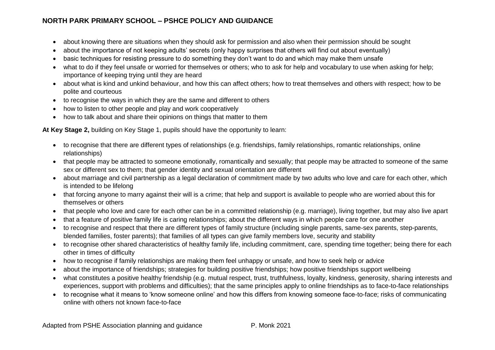- about knowing there are situations when they should ask for permission and also when their permission should be sought
- about the importance of not keeping adults' secrets (only happy surprises that others will find out about eventually)
- basic techniques for resisting pressure to do something they don't want to do and which may make them unsafe
- what to do if they feel unsafe or worried for themselves or others; who to ask for help and vocabulary to use when asking for help; importance of keeping trying until they are heard
- about what is kind and unkind behaviour, and how this can affect others; how to treat themselves and others with respect; how to be polite and courteous
- to recognise the ways in which they are the same and different to others
- how to listen to other people and play and work cooperatively
- how to talk about and share their opinions on things that matter to them

**At Key Stage 2,** building on Key Stage 1, pupils should have the opportunity to learn:

- to recognise that there are different types of relationships (e.g. friendships, family relationships, romantic relationships, online relationships)
- that people may be attracted to someone emotionally, romantically and sexually; that people may be attracted to someone of the same sex or different sex to them; that gender identity and sexual orientation are different
- about marriage and civil partnership as a legal declaration of commitment made by two adults who love and care for each other, which is intended to be lifelong
- that forcing anyone to marry against their will is a crime; that help and support is available to people who are worried about this for themselves or others
- that people who love and care for each other can be in a committed relationship (e.g. marriage), living together, but may also live apart
- that a feature of positive family life is caring relationships; about the different ways in which people care for one another
- to recognise and respect that there are different types of family structure (including single parents, same-sex parents, step-parents, blended families, foster parents); that families of all types can give family members love, security and stability
- to recognise other shared characteristics of healthy family life, including commitment, care, spending time together; being there for each other in times of difficulty
- how to recognise if family relationships are making them feel unhappy or unsafe, and how to seek help or advice
- about the importance of friendships; strategies for building positive friendships; how positive friendships support wellbeing
- what constitutes a positive healthy friendship (e.g. mutual respect, trust, truthfulness, loyalty, kindness, generosity, sharing interests and experiences, support with problems and difficulties); that the same principles apply to online friendships as to face-to-face relationships
- to recognise what it means to 'know someone online' and how this differs from knowing someone face-to-face; risks of communicating online with others not known face-to-face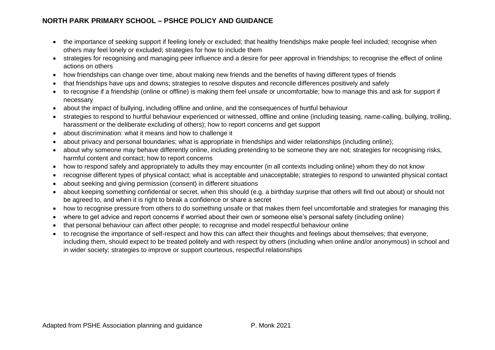- the importance of seeking support if feeling lonely or excluded; that healthy friendships make people feel included; recognise when others may feel lonely or excluded; strategies for how to include them
- strategies for recognising and managing peer influence and a desire for peer approval in friendships; to recognise the effect of online actions on others
- how friendships can change over time, about making new friends and the benefits of having different types of friends
- that friendships have ups and downs; strategies to resolve disputes and reconcile differences positively and safely
- to recognise if a friendship (online or offline) is making them feel unsafe or uncomfortable; how to manage this and ask for support if necessary
- about the impact of bullying, including offline and online, and the consequences of hurtful behaviour
- strategies to respond to hurtful behaviour experienced or witnessed, offline and online (including teasing, name-calling, bullying, trolling, harassment or the deliberate excluding of others); how to report concerns and get support
- about discrimination: what it means and how to challenge it
- about privacy and personal boundaries; what is appropriate in friendships and wider relationships (including online);
- about why someone may behave differently online, including pretending to be someone they are not; strategies for recognising risks, harmful content and contact; how to report concerns
- how to respond safely and appropriately to adults they may encounter (in all contexts including online) whom they do not know
- recognise different types of physical contact; what is acceptable and unacceptable; strategies to respond to unwanted physical contact
- about seeking and giving permission (consent) in different situations
- about keeping something confidential or secret, when this should (e.g. a birthday surprise that others will find out about) or should not be agreed to, and when it is right to break a confidence or share a secret
- how to recognise pressure from others to do something unsafe or that makes them feel uncomfortable and strategies for managing this
- where to get advice and report concerns if worried about their own or someone else's personal safety (including online)
- that personal behaviour can affect other people; to recognise and model respectful behaviour online
- to recognise the importance of self-respect and how this can affect their thoughts and feelings about themselves; that everyone, including them, should expect to be treated politely and with respect by others (including when online and/or anonymous) in school and in wider society; strategies to improve or support courteous, respectful relationships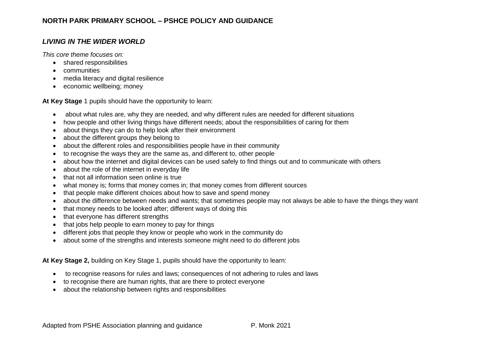# *LIVING IN THE WIDER WORLD*

*This core theme focuses on:*

- shared responsibilities
- communities
- media literacy and digital resilience
- economic wellbeing; money

**At Key Stage** 1 pupils should have the opportunity to learn:

- about what rules are, why they are needed, and why different rules are needed for different situations
- how people and other living things have different needs; about the responsibilities of caring for them
- about things they can do to help look after their environment
- about the different groups they belong to
- about the different roles and responsibilities people have in their community
- to recognise the ways they are the same as, and different to, other people
- about how the internet and digital devices can be used safely to find things out and to communicate with others
- about the role of the internet in everyday life
- that not all information seen online is true
- what money is; forms that money comes in; that money comes from different sources
- that people make different choices about how to save and spend money
- about the difference between needs and wants; that sometimes people may not always be able to have the things they want
- that money needs to be looked after; different ways of doing this
- that everyone has different strengths
- that jobs help people to earn money to pay for things
- different jobs that people they know or people who work in the community do
- about some of the strengths and interests someone might need to do different jobs

**At Key Stage 2,** building on Key Stage 1, pupils should have the opportunity to learn:

- to recognise reasons for rules and laws; consequences of not adhering to rules and laws
- to recognise there are human rights, that are there to protect everyone
- about the relationship between rights and responsibilities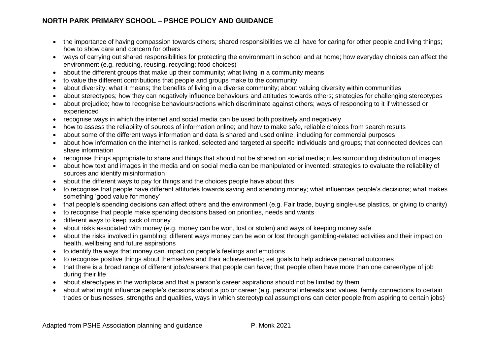- the importance of having compassion towards others; shared responsibilities we all have for caring for other people and living things; how to show care and concern for others
- ways of carrying out shared responsibilities for protecting the environment in school and at home; how everyday choices can affect the environment (e.g. reducing, reusing, recycling; food choices)
- about the different groups that make up their community; what living in a community means
- to value the different contributions that people and groups make to the community
- about diversity: what it means; the benefits of living in a diverse community; about valuing diversity within communities
- about stereotypes; how they can negatively influence behaviours and attitudes towards others; strategies for challenging stereotypes
- about prejudice; how to recognise behaviours/actions which discriminate against others; ways of responding to it if witnessed or experienced
- recognise ways in which the internet and social media can be used both positively and negatively
- how to assess the reliability of sources of information online; and how to make safe, reliable choices from search results
- about some of the different ways information and data is shared and used online, including for commercial purposes
- about how information on the internet is ranked, selected and targeted at specific individuals and groups; that connected devices can share information
- recognise things appropriate to share and things that should not be shared on social media; rules surrounding distribution of images
- about how text and images in the media and on social media can be manipulated or invented; strategies to evaluate the reliability of sources and identify misinformation
- about the different ways to pay for things and the choices people have about this
- to recognise that people have different attitudes towards saving and spending money; what influences people's decisions; what makes something 'good value for money'
- that people's spending decisions can affect others and the environment (e.g. Fair trade, buying single-use plastics, or giving to charity)
- to recognise that people make spending decisions based on priorities, needs and wants
- different ways to keep track of money
- about risks associated with money (e.g. money can be won, lost or stolen) and ways of keeping money safe
- about the risks involved in gambling; different ways money can be won or lost through gambling-related activities and their impact on health, wellbeing and future aspirations
- to identify the ways that money can impact on people's feelings and emotions
- to recognise positive things about themselves and their achievements; set goals to help achieve personal outcomes
- that there is a broad range of different jobs/careers that people can have; that people often have more than one career/type of job during their life
- about stereotypes in the workplace and that a person's career aspirations should not be limited by them
- about what might influence people's decisions about a job or career (e.g. personal interests and values, family connections to certain trades or businesses, strengths and qualities, ways in which stereotypical assumptions can deter people from aspiring to certain jobs)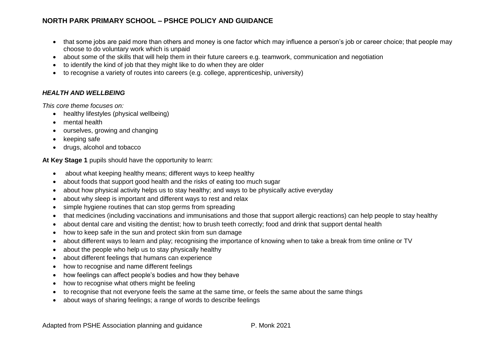- that some jobs are paid more than others and money is one factor which may influence a person's job or career choice; that people may choose to do voluntary work which is unpaid
- about some of the skills that will help them in their future careers e.g. teamwork, communication and negotiation
- to identify the kind of job that they might like to do when they are older
- to recognise a variety of routes into careers (e.g. college, apprenticeship, university)

#### *HEALTH AND WELLBEING*

*This core theme focuses on:*

- healthy lifestyles (physical wellbeing)
- mental health
- ourselves, growing and changing
- keeping safe
- drugs, alcohol and tobacco

**At Key Stage 1** pupils should have the opportunity to learn:

- about what keeping healthy means; different ways to keep healthy
- about foods that support good health and the risks of eating too much sugar
- about how physical activity helps us to stay healthy; and ways to be physically active everyday
- about why sleep is important and different ways to rest and relax
- simple hygiene routines that can stop germs from spreading
- that medicines (including vaccinations and immunisations and those that support allergic reactions) can help people to stay healthy
- about dental care and visiting the dentist; how to brush teeth correctly; food and drink that support dental health
- how to keep safe in the sun and protect skin from sun damage
- about different ways to learn and play; recognising the importance of knowing when to take a break from time online or TV
- about the people who help us to stay physically healthy
- about different feelings that humans can experience
- how to recognise and name different feelings
- how feelings can affect people's bodies and how they behave
- how to recognise what others might be feeling
- to recognise that not everyone feels the same at the same time, or feels the same about the same things
- about ways of sharing feelings; a range of words to describe feelings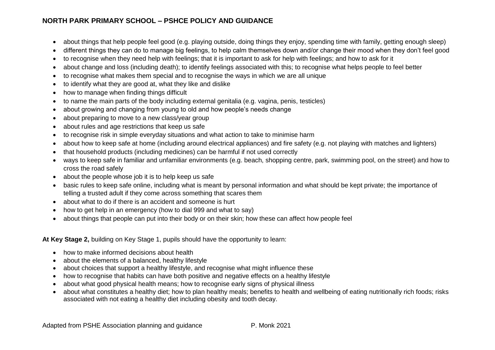- about things that help people feel good (e.g. playing outside, doing things they enjoy, spending time with family, getting enough sleep)
- different things they can do to manage big feelings, to help calm themselves down and/or change their mood when they don't feel good
- to recognise when they need help with feelings; that it is important to ask for help with feelings; and how to ask for it
- about change and loss (including death); to identify feelings associated with this; to recognise what helps people to feel better
- to recognise what makes them special and to recognise the ways in which we are all unique
- to identify what they are good at, what they like and dislike
- how to manage when finding things difficult
- to name the main parts of the body including external genitalia (e.g. vagina, penis, testicles)
- about growing and changing from young to old and how people's needs change
- about preparing to move to a new class/year group
- about rules and age restrictions that keep us safe
- to recognise risk in simple everyday situations and what action to take to minimise harm
- about how to keep safe at home (including around electrical appliances) and fire safety (e.g. not playing with matches and lighters)
- that household products (including medicines) can be harmful if not used correctly
- ways to keep safe in familiar and unfamiliar environments (e.g. beach, shopping centre, park, swimming pool, on the street) and how to cross the road safely
- about the people whose job it is to help keep us safe
- basic rules to keep safe online, including what is meant by personal information and what should be kept private; the importance of telling a trusted adult if they come across something that scares them
- about what to do if there is an accident and someone is hurt
- how to get help in an emergency (how to dial 999 and what to say)
- about things that people can put into their body or on their skin; how these can affect how people feel

**At Key Stage 2,** building on Key Stage 1, pupils should have the opportunity to learn:

- how to make informed decisions about health
- about the elements of a balanced, healthy lifestyle
- about choices that support a healthy lifestyle, and recognise what might influence these
- how to recognise that habits can have both positive and negative effects on a healthy lifestyle
- about what good physical health means; how to recognise early signs of physical illness
- about what constitutes a healthy diet; how to plan healthy meals; benefits to health and wellbeing of eating nutritionally rich foods; risks associated with not eating a healthy diet including obesity and tooth decay.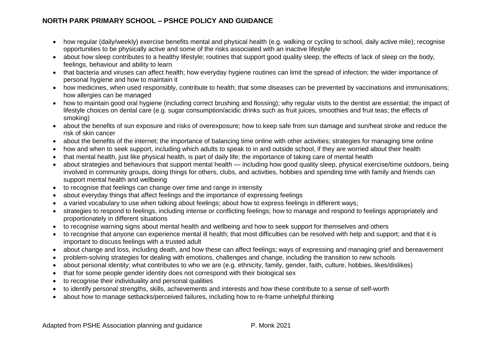- how regular (daily/weekly) exercise benefits mental and physical health (e.g. walking or cycling to school, daily active mile); recognise opportunities to be physically active and some of the risks associated with an inactive lifestyle
- about how sleep contributes to a healthy lifestyle; routines that support good quality sleep; the effects of lack of sleep on the body, feelings, behaviour and ability to learn
- that bacteria and viruses can affect health; how everyday hygiene routines can limit the spread of infection; the wider importance of personal hygiene and how to maintain it
- how medicines, when used responsibly, contribute to health; that some diseases can be prevented by vaccinations and immunisations; how allergies can be managed
- how to maintain good oral hygiene (including correct brushing and flossing); why regular visits to the dentist are essential; the impact of lifestyle choices on dental care (e.g. sugar consumption/acidic drinks such as fruit juices, smoothies and fruit teas; the effects of smoking)
- about the benefits of sun exposure and risks of overexposure; how to keep safe from sun damage and sun/heat stroke and reduce the risk of skin cancer
- about the benefits of the internet; the importance of balancing time online with other activities; strategies for managing time online
- how and when to seek support, including which adults to speak to in and outside school, if they are worried about their health
- that mental health, just like physical health, is part of daily life; the importance of taking care of mental health
- about strategies and behaviours that support mental health including how good quality sleep, physical exercise/time outdoors, being involved in community groups, doing things for others, clubs, and activities, hobbies and spending time with family and friends can support mental health and wellbeing
- to recognise that feelings can change over time and range in intensity
- about everyday things that affect feelings and the importance of expressing feelings
- a varied vocabulary to use when talking about feelings; about how to express feelings in different ways;
- strategies to respond to feelings, including intense or conflicting feelings; how to manage and respond to feelings appropriately and proportionately in different situations
- to recognise warning signs about mental health and wellbeing and how to seek support for themselves and others
- to recognise that anyone can experience mental ill health; that most difficulties can be resolved with help and support; and that it is important to discuss feelings with a trusted adult
- about change and loss, including death, and how these can affect feelings; ways of expressing and managing grief and bereavement
- problem-solving strategies for dealing with emotions, challenges and change, including the transition to new schools
- about personal identity; what contributes to who we are (e.g. ethnicity, family, gender, faith, culture, hobbies, likes/dislikes)
- that for some people gender identity does not correspond with their biological sex
- to recognise their individuality and personal qualities
- to identify personal strengths, skills, achievements and interests and how these contribute to a sense of self-worth
- about how to manage setbacks/perceived failures, including how to re-frame unhelpful thinking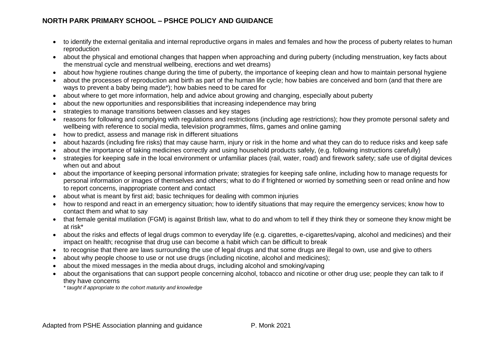- to identify the external genitalia and internal reproductive organs in males and females and how the process of puberty relates to human reproduction
- about the physical and emotional changes that happen when approaching and during puberty (including menstruation, key facts about the menstrual cycle and menstrual wellbeing, erections and wet dreams)
- about how hygiene routines change during the time of puberty, the importance of keeping clean and how to maintain personal hygiene
- about the processes of reproduction and birth as part of the human life cycle; how babies are conceived and born (and that there are ways to prevent a baby being made\*); how babies need to be cared for
- about where to get more information, help and advice about growing and changing, especially about puberty
- about the new opportunities and responsibilities that increasing independence may bring
- strategies to manage transitions between classes and key stages
- reasons for following and complying with regulations and restrictions (including age restrictions); how they promote personal safety and wellbeing with reference to social media, television programmes, films, games and online gaming
- how to predict, assess and manage risk in different situations
- about hazards (including fire risks) that may cause harm, injury or risk in the home and what they can do to reduce risks and keep safe
- about the importance of taking medicines correctly and using household products safely, (e.g. following instructions carefully)
- strategies for keeping safe in the local environment or unfamiliar places (rail, water, road) and firework safety; safe use of digital devices when out and about
- about the importance of keeping personal information private; strategies for keeping safe online, including how to manage requests for personal information or images of themselves and others; what to do if frightened or worried by something seen or read online and how to report concerns, inappropriate content and contact
- about what is meant by first aid; basic techniques for dealing with common injuries
- how to respond and react in an emergency situation; how to identify situations that may require the emergency services; know how to contact them and what to say
- that female genital mutilation (FGM) is against British law, what to do and whom to tell if they think they or someone they know might be at risk\*
- about the risks and effects of legal drugs common to everyday life (e.g. cigarettes, e-cigarettes/vaping, alcohol and medicines) and their impact on health; recognise that drug use can become a habit which can be difficult to break
- to recognise that there are laws surrounding the use of legal drugs and that some drugs are illegal to own, use and give to others
- about why people choose to use or not use drugs (including nicotine, alcohol and medicines);
- about the mixed messages in the media about drugs, including alcohol and smoking/vaping
- about the organisations that can support people concerning alcohol, tobacco and nicotine or other drug use; people they can talk to if they have concerns

*\* taught if appropriate to the cohort maturity and knowledge*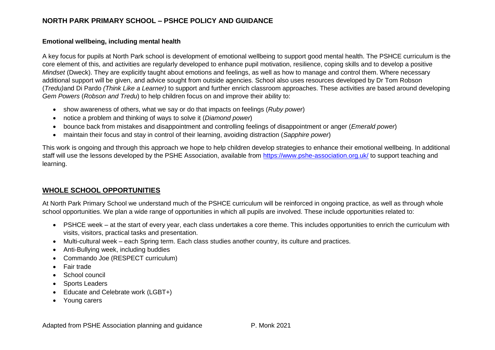#### **Emotional wellbeing, including mental health**

A key focus for pupils at North Park school is development of emotional wellbeing to support good mental health. The PSHCE curriculum is the core element of this, and activities are regularly developed to enhance pupil motivation, resilience, coping skills and to develop a positive *Mindset* (Dweck). They are explicitly taught about emotions and feelings, as well as how to manage and control them. Where necessary additional support will be given, and advice sought from outside agencies. School also uses resources developed by Dr Tom Robson (*Tredu)*and Di Pardo *(Think Like a Learner)* to support and further enrich classroom approaches. These activities are based around developing *Gem Powers* (*Robson and Tredu*) to help children focus on and improve their ability to:

- show awareness of others, what we say or do that impacts on feelings (*Ruby power*)
- notice a problem and thinking of ways to solve it (*Diamond power*)
- bounce back from mistakes and disappointment and controlling feelings of disappointment or anger (*Emerald power*)
- maintain their focus and stay in control of their learning, avoiding distraction (*Sapphire power*)

This work is ongoing and through this approach we hope to help children develop strategies to enhance their emotional wellbeing. In additional staff will use the lessons developed by the PSHE Association, available from<https://www.pshe-association.org.uk/> to support teaching and learning.

# **WHOLE SCHOOL OPPORTUNITIES**

At North Park Primary School we understand much of the PSHCE curriculum will be reinforced in ongoing practice, as well as through whole school opportunities. We plan a wide range of opportunities in which all pupils are involved. These include opportunities related to:

- PSHCE week at the start of every year, each class undertakes a core theme. This includes opportunities to enrich the curriculum with visits, visitors, practical tasks and presentation.
- Multi-cultural week each Spring term. Each class studies another country, its culture and practices.
- Anti-Bullying week, including buddies
- Commando Joe (RESPECT curriculum)
- Fair trade
- School council
- Sports Leaders
- Educate and Celebrate work (LGBT+)
- Young carers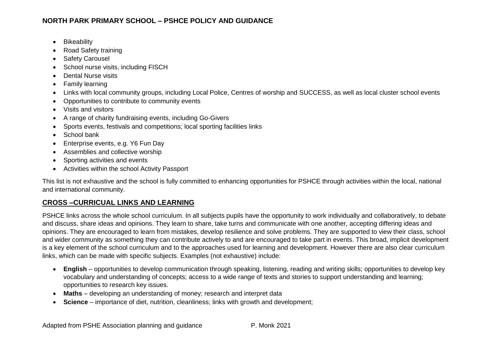- Bikeability
- Road Safety training
- Safety Carousel
- School nurse visits, including FISCH
- Dental Nurse visits
- Family learning
- Links with local community groups, including Local Police, Centres of worship and SUCCESS, as well as local cluster school events
- Opportunities to contribute to community events
- Visits and visitors
- A range of charity fundraising events, including Go-Givers
- Sports events, festivals and competitions; local sporting facilities links
- School bank
- Enterprise events, e.g. Y6 Fun Day
- Assemblies and collective worship
- Sporting activities and events
- Activities within the school Activity Passport

This list is not exhaustive and the school is fully committed to enhancing opportunities for PSHCE through activities within the local, national and international community.

# **CROSS –CURRICUAL LINKS AND LEARNING**

PSHCE links across the whole school curriculum. In all subjects pupils have the opportunity to work individually and collaboratively, to debate and discuss, share ideas and opinions. They learn to share, take turns and communicate with one another, accepting differing ideas and opinions. They are encouraged to learn from mistakes, develop resilience and solve problems. They are supported to view their class, school and wider community as something they can contribute actively to and are encouraged to take part in events. This broad, implicit development is a key element of the school curriculum and to the approaches used for learning and development. However there are also clear curriculum links, which can be made with specific subjects. Examples (not exhaustive) include:

- **English** opportunities to develop communication through speaking, listening, reading and writing skills; opportunities to develop key vocabulary and understanding of concepts; access to a wide range of texts and stories to support understanding and learning; opportunities to research key issues.
- **Maths**  developing an understanding of money; research and interpret data
- **Science**  importance of diet, nutrition, cleanliness; links with growth and development;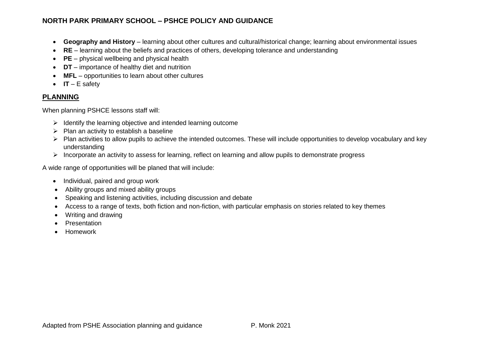- **Geography and History** learning about other cultures and cultural/historical change; learning about environmental issues
- **RE**  learning about the beliefs and practices of others, developing tolerance and understanding
- **PE**  physical wellbeing and physical health
- **DT**  importance of healthy diet and nutrition
- **MFL** opportunities to learn about other cultures
- **IT**  E safety

# **PLANNING**

When planning PSHCE lessons staff will:

- ➢ Identify the learning objective and intended learning outcome
- $\triangleright$  Plan an activity to establish a baseline
- ➢ Plan activities to allow pupils to achieve the intended outcomes. These will include opportunities to develop vocabulary and key understanding
- ➢ Incorporate an activity to assess for learning, reflect on learning and allow pupils to demonstrate progress

A wide range of opportunities will be planed that will include:

- Individual, paired and group work
- Ability groups and mixed ability groups
- Speaking and listening activities, including discussion and debate
- Access to a range of texts, both fiction and non-fiction, with particular emphasis on stories related to key themes
- Writing and drawing
- **Presentation**
- Homework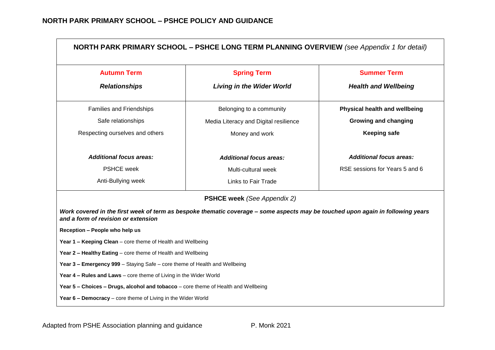| <b>Autumn Term</b><br><b>Summer Term</b><br><b>Spring Term</b>                                |                                                                                                                                 |                                |  |  |  |
|-----------------------------------------------------------------------------------------------|---------------------------------------------------------------------------------------------------------------------------------|--------------------------------|--|--|--|
| <b>Relationships</b>                                                                          | <b>Living in the Wider World</b>                                                                                                | <b>Health and Wellbeing</b>    |  |  |  |
| Families and Friendships                                                                      | Belonging to a community                                                                                                        | Physical health and wellbeing  |  |  |  |
| Safe relationships                                                                            | Media Literacy and Digital resilience                                                                                           | <b>Growing and changing</b>    |  |  |  |
| Respecting ourselves and others<br>Money and work                                             |                                                                                                                                 | <b>Keeping safe</b>            |  |  |  |
| <b>Additional focus areas:</b>                                                                | <b>Additional focus areas:</b>                                                                                                  | <b>Additional focus areas:</b> |  |  |  |
| <b>PSHCE</b> week                                                                             | Multi-cultural week                                                                                                             | RSE sessions for Years 5 and 6 |  |  |  |
| Anti-Bullying week                                                                            | Links to Fair Trade                                                                                                             |                                |  |  |  |
|                                                                                               | <b>PSHCE week</b> (See Appendix 2)                                                                                              |                                |  |  |  |
|                                                                                               | Work covered in the first week of term as bespoke thematic coverage - some aspects may be touched upon again in following years |                                |  |  |  |
| and a form of revision or extension                                                           |                                                                                                                                 |                                |  |  |  |
|                                                                                               |                                                                                                                                 |                                |  |  |  |
| Reception - People who help us<br>Year 1 - Keeping Clean - core theme of Health and Wellbeing |                                                                                                                                 |                                |  |  |  |
| Year 2 - Healthy Eating - core theme of Health and Wellbeing                                  |                                                                                                                                 |                                |  |  |  |
| Year 3 - Emergency 999 - Staying Safe - core theme of Health and Wellbeing                    |                                                                                                                                 |                                |  |  |  |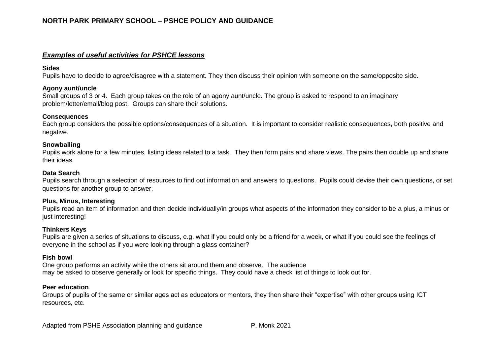#### *Examples of useful activities for PSHCE lessons*

#### **Sides**

Pupils have to decide to agree/disagree with a statement. They then discuss their opinion with someone on the same/opposite side.

#### **Agony aunt/uncle**

Small groups of 3 or 4. Each group takes on the role of an agony aunt/uncle. The group is asked to respond to an imaginary problem/letter/email/blog post. Groups can share their solutions.

#### **Consequences**

Each group considers the possible options/consequences of a situation. It is important to consider realistic consequences, both positive and negative.

#### **Snowballing**

Pupils work alone for a few minutes, listing ideas related to a task. They then form pairs and share views. The pairs then double up and share their ideas.

#### **Data Search**

Pupils search through a selection of resources to find out information and answers to questions. Pupils could devise their own questions, or set questions for another group to answer.

#### **Plus, Minus, Interesting**

Pupils read an item of information and then decide individually/in groups what aspects of the information they consider to be a plus, a minus or just interesting!

#### **Thinkers Keys**

Pupils are given a series of situations to discuss, e.g. what if you could only be a friend for a week, or what if you could see the feelings of everyone in the school as if you were looking through a glass container?

#### **Fish bowl**

One group performs an activity while the others sit around them and observe. The audience may be asked to observe generally or look for specific things. They could have a check list of things to look out for.

#### **Peer education**

Groups of pupils of the same or similar ages act as educators or mentors, they then share their "expertise" with other groups using ICT resources, etc.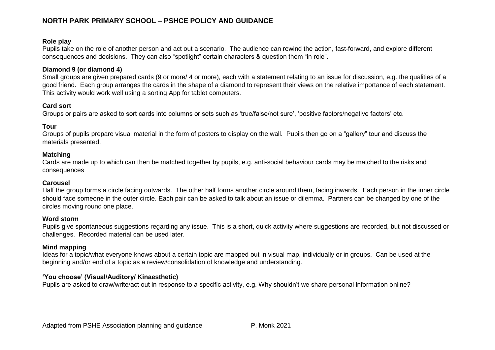## **Role play**

Pupils take on the role of another person and act out a scenario. The audience can rewind the action, fast-forward, and explore different consequences and decisions. They can also "spotlight" certain characters & question them "in role".

#### **Diamond 9 (or diamond 4)**

Small groups are given prepared cards (9 or more/ 4 or more), each with a statement relating to an issue for discussion, e.g. the qualities of a good friend. Each group arranges the cards in the shape of a diamond to represent their views on the relative importance of each statement. This activity would work well using a sorting App for tablet computers.

#### **Card sort**

Groups or pairs are asked to sort cards into columns or sets such as 'true/false/not sure', 'positive factors/negative factors' etc.

### **Tour**

Groups of pupils prepare visual material in the form of posters to display on the wall. Pupils then go on a "gallery" tour and discuss the materials presented.

#### **Matching**

Cards are made up to which can then be matched together by pupils, e.g. anti-social behaviour cards may be matched to the risks and consequences

#### **Carousel**

Half the group forms a circle facing outwards. The other half forms another circle around them, facing inwards. Each person in the inner circle should face someone in the outer circle. Each pair can be asked to talk about an issue or dilemma. Partners can be changed by one of the circles moving round one place.

#### **Word storm**

Pupils give spontaneous suggestions regarding any issue. This is a short, quick activity where suggestions are recorded, but not discussed or challenges. Recorded material can be used later.

#### **Mind mapping**

Ideas for a topic/what everyone knows about a certain topic are mapped out in visual map, individually or in groups. Can be used at the beginning and/or end of a topic as a review/consolidation of knowledge and understanding.

#### **'You choose' (Visual/Auditory/ Kinaesthetic)**

Pupils are asked to draw/write/act out in response to a specific activity, e.g. Why shouldn't we share personal information online?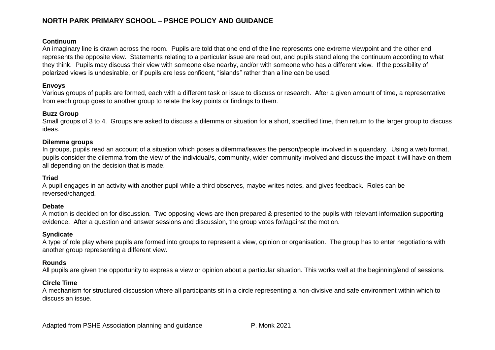#### **Continuum**

An imaginary line is drawn across the room. Pupils are told that one end of the line represents one extreme viewpoint and the other end represents the opposite view. Statements relating to a particular issue are read out, and pupils stand along the continuum according to what they think. Pupils may discuss their view with someone else nearby, and/or with someone who has a different view. If the possibility of polarized views is undesirable, or if pupils are less confident, "islands" rather than a line can be used.

#### **Envoys**

Various groups of pupils are formed, each with a different task or issue to discuss or research. After a given amount of time, a representative from each group goes to another group to relate the key points or findings to them.

#### **Buzz Group**

Small groups of 3 to 4. Groups are asked to discuss a dilemma or situation for a short, specified time, then return to the larger group to discuss ideas.

#### **Dilemma groups**

In groups, pupils read an account of a situation which poses a dilemma/leaves the person/people involved in a quandary. Using a web format, pupils consider the dilemma from the view of the individual/s, community, wider community involved and discuss the impact it will have on them all depending on the decision that is made.

#### **Triad**

A pupil engages in an activity with another pupil while a third observes, maybe writes notes, and gives feedback. Roles can be reversed/changed.

#### **Debate**

A motion is decided on for discussion. Two opposing views are then prepared & presented to the pupils with relevant information supporting evidence. After a question and answer sessions and discussion, the group votes for/against the motion.

### **Syndicate**

A type of role play where pupils are formed into groups to represent a view, opinion or organisation. The group has to enter negotiations with another group representing a different view.

#### **Rounds**

All pupils are given the opportunity to express a view or opinion about a particular situation. This works well at the beginning/end of sessions.

### **Circle Time**

A mechanism for structured discussion where all participants sit in a circle representing a non-divisive and safe environment within which to discuss an issue.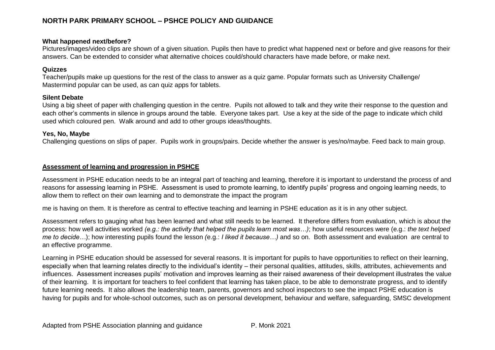#### **What happened next/before?**

Pictures/images/video clips are shown of a given situation. Pupils then have to predict what happened next or before and give reasons for their answers. Can be extended to consider what alternative choices could/should characters have made before, or make next.

#### **Quizzes**

Teacher/pupils make up questions for the rest of the class to answer as a quiz game. Popular formats such as University Challenge/ Mastermind popular can be used, as can quiz apps for tablets.

#### **Silent Debate**

Using a big sheet of paper with challenging question in the centre. Pupils not allowed to talk and they write their response to the question and each other's comments in silence in groups around the table. Everyone takes part. Use a key at the side of the page to indicate which child used which coloured pen. Walk around and add to other groups ideas/thoughts.

#### **Yes, No, Maybe**

Challenging questions on slips of paper. Pupils work in groups/pairs. Decide whether the answer is yes/no/maybe. Feed back to main group.

#### **Assessment of learning and progression in PSHCE**

Assessment in PSHE education needs to be an integral part of teaching and learning, therefore it is important to understand the process of and reasons for assessing learning in PSHE. Assessment is used to promote learning, to identify pupils' progress and ongoing learning needs, to allow them to reflect on their own learning and to demonstrate the impact the program

me is having on them. It is therefore as central to effective teaching and learning in PSHE education as it is in any other subject.

Assessment refers to gauging what has been learned and what still needs to be learned. It therefore differs from evaluation, which is about the process: how well activities worked *(e.g.: the activity that helped the pupils learn most was…)*; how useful resources were (e.g.: *the text helped me to decide…*); how interesting pupils found the lesson *(*e.g.: *I liked it because…)* and so on. Both assessment and evaluation are central to an effective programme.

Learning in PSHE education should be assessed for several reasons. It is important for pupils to have opportunities to reflect on their learning, especially when that learning relates directly to the individual's identity – their personal qualities, attitudes, skills, attributes, achievements and influences. Assessment increases pupils' motivation and improves learning as their raised awareness of their development illustrates the value of their learning. It is important for teachers to feel confident that learning has taken place, to be able to demonstrate progress, and to identify future learning needs. It also allows the leadership team, parents, governors and school inspectors to see the impact PSHE education is having for pupils and for whole-school outcomes, such as on personal development, behaviour and welfare, safeguarding, SMSC development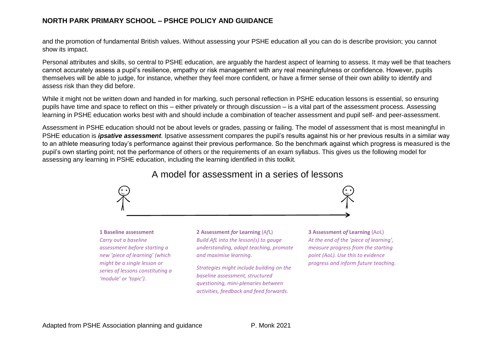and the promotion of fundamental British values. Without assessing your PSHE education all you can do is describe provision; you cannot show its impact.

Personal attributes and skills, so central to PSHE education, are arguably the hardest aspect of learning to assess. It may well be that teachers cannot accurately assess a pupil's resilience, empathy or risk management with any real meaningfulness or confidence. However, pupils themselves will be able to judge, for instance, whether they feel more confident, or have a firmer sense of their own ability to identify and assess risk than they did before.

While it might not be written down and handed in for marking, such personal reflection in PSHE education lessons is essential, so ensuring pupils have time and space to reflect on this – either privately or through discussion – is a vital part of the assessment process. Assessing learning in PSHE education works best with and should include a combination of teacher assessment and pupil self- and peer-assessment.

Assessment in PSHE education should not be about levels or grades, passing or failing. The model of assessment that is most meaningful in PSHE education is *ipsative assessment*. Ipsative assessment compares the pupil's results against his or her previous results in a similar way to an athlete measuring today's performance against their previous performance. So the benchmark against which progress is measured is the pupil's own starting point; not the performance of others or the requirements of an exam syllabus. This gives us the following model for assessing any learning in PSHE education, including the learning identified in this toolkit*.*

# A model for assessment in a series of lessons



#### **1 Baseline assessment**

*Carry out a baseline assessment before starting a new 'piece of learning' (which might be a single lesson or series of lessons constituting a 'module' or 'topic').*

#### **2 Assessment** *for* **Learning** (A*f*L) *Build AfL into the lesson(s) to gauge understanding, adapt teaching, promote and maximise learning.*

*Strategies might include building on the baseline assessment, structured questioning, mini-plenaries between activities, feedback and feed forwards.*

#### **3 Assessment** *of* **Learning** (A*o*L)

*At the end of the 'piece of learning', measure progress from the starting point (AoL). Use this to evidence progress and inform future teaching.*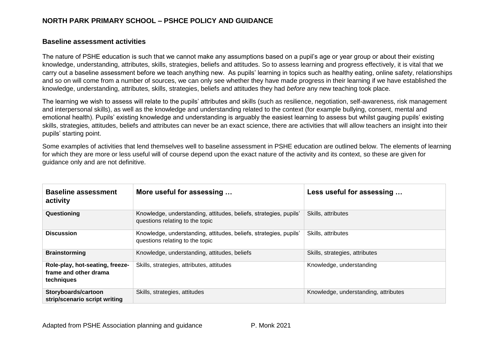#### **Baseline assessment activities**

The nature of PSHE education is such that we cannot make any assumptions based on a pupil's age or year group or about their existing knowledge, understanding, attributes, skills, strategies, beliefs and attitudes. So to assess learning and progress effectively, it is vital that we carry out a baseline assessment before we teach anything new. As pupils' learning in topics such as healthy eating, online safety, relationships and so on will come from a number of sources, we can only see whether they have made progress in their learning if we have established the knowledge, understanding, attributes, skills, strategies, beliefs and attitudes they had *before* any new teaching took place.

The learning we wish to assess will relate to the pupils' attributes and skills (such as resilience, negotiation, self-awareness, risk management and interpersonal skills), as well as the knowledge and understanding related to the context (for example bullying, consent, mental and emotional health). Pupils' existing knowledge and understanding is arguably the easiest learning to assess but whilst gauging pupils' existing skills, strategies, attitudes, beliefs and attributes can never be an exact science, there are activities that will allow teachers an insight into their pupils' starting point.

Some examples of activities that lend themselves well to baseline assessment in PSHE education are outlined below. The elements of learning for which they are more or less useful will of course depend upon the exact nature of the activity and its context, so these are given for guidance only and are not definitive.

| <b>Baseline assessment</b><br>activity                                 | More useful for assessing                                                                            | Less useful for assessing            |
|------------------------------------------------------------------------|------------------------------------------------------------------------------------------------------|--------------------------------------|
| Questioning                                                            | Knowledge, understanding, attitudes, beliefs, strategies, pupils'<br>questions relating to the topic | Skills, attributes                   |
| <b>Discussion</b>                                                      | Knowledge, understanding, attitudes, beliefs, strategies, pupils'<br>questions relating to the topic | Skills, attributes                   |
| <b>Brainstorming</b>                                                   | Knowledge, understanding, attitudes, beliefs                                                         | Skills, strategies, attributes       |
| Role-play, hot-seating, freeze-<br>frame and other drama<br>techniques | Skills, strategies, attributes, attitudes                                                            | Knowledge, understanding             |
| Storyboards/cartoon<br>strip/scenario script writing                   | Skills, strategies, attitudes                                                                        | Knowledge, understanding, attributes |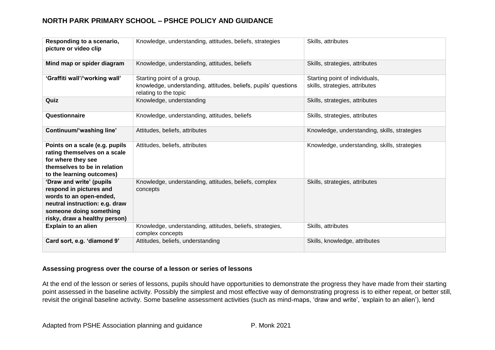| Responding to a scenario,<br>picture or video clip                                                                                                                           | Knowledge, understanding, attitudes, beliefs, strategies                                                               | Skills, attributes                                               |
|------------------------------------------------------------------------------------------------------------------------------------------------------------------------------|------------------------------------------------------------------------------------------------------------------------|------------------------------------------------------------------|
| Mind map or spider diagram                                                                                                                                                   | Knowledge, understanding, attitudes, beliefs                                                                           | Skills, strategies, attributes                                   |
| 'Graffiti wall'/'working wall'                                                                                                                                               | Starting point of a group,<br>knowledge, understanding, attitudes, beliefs, pupils' questions<br>relating to the topic | Starting point of individuals,<br>skills, strategies, attributes |
| Quiz                                                                                                                                                                         | Knowledge, understanding                                                                                               | Skills, strategies, attributes                                   |
| Questionnaire                                                                                                                                                                | Knowledge, understanding, attitudes, beliefs                                                                           | Skills, strategies, attributes                                   |
| Continuum/'washing line'                                                                                                                                                     | Attitudes, beliefs, attributes                                                                                         | Knowledge, understanding, skills, strategies                     |
| Points on a scale (e.g. pupils<br>rating themselves on a scale<br>for where they see<br>themselves to be in relation<br>to the learning outcomes)                            | Attitudes, beliefs, attributes                                                                                         | Knowledge, understanding, skills, strategies                     |
| 'Draw and write' (pupils<br>respond in pictures and<br>words to an open-ended,<br>neutral instruction: e.g. draw<br>someone doing something<br>risky, draw a healthy person) | Knowledge, understanding, attitudes, beliefs, complex<br>concepts                                                      | Skills, strategies, attributes                                   |
| <b>Explain to an alien</b>                                                                                                                                                   | Knowledge, understanding, attitudes, beliefs, strategies,<br>complex concepts                                          | Skills, attributes                                               |
| Card sort, e.g. 'diamond 9'                                                                                                                                                  | Attitudes, beliefs, understanding                                                                                      | Skills, knowledge, attributes                                    |

### **Assessing progress over the course of a lesson or series of lessons**

At the end of the lesson or series of lessons, pupils should have opportunities to demonstrate the progress they have made from their starting point assessed in the baseline activity. Possibly the simplest and most effective way of demonstrating progress is to either repeat, or better still, revisit the original baseline activity. Some baseline assessment activities (such as mind-maps, 'draw and write', 'explain to an alien'), lend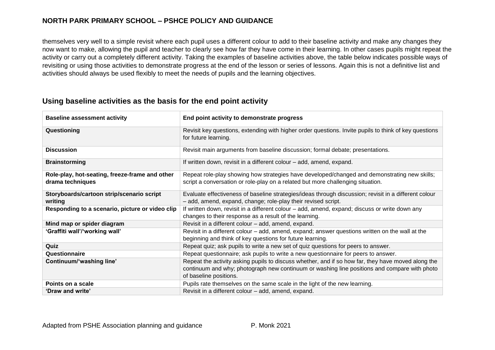themselves very well to a simple revisit where each pupil uses a different colour to add to their baseline activity and make any changes they now want to make, allowing the pupil and teacher to clearly see how far they have come in their learning. In other cases pupils might repeat the activity or carry out a completely different activity. Taking the examples of baseline activities above, the table below indicates possible ways of revisiting or using those activities to demonstrate progress at the end of the lesson or series of lessons. Again this is not a definitive list and activities should always be used flexibly to meet the needs of pupils and the learning objectives.

# **Using baseline activities as the basis for the end point activity**

| <b>Baseline assessment activity</b>                                | End point activity to demonstrate progress                                                                                                                                                                                   |
|--------------------------------------------------------------------|------------------------------------------------------------------------------------------------------------------------------------------------------------------------------------------------------------------------------|
| Questioning                                                        | Revisit key questions, extending with higher order questions. Invite pupils to think of key questions<br>for future learning.                                                                                                |
| <b>Discussion</b>                                                  | Revisit main arguments from baseline discussion; formal debate; presentations.                                                                                                                                               |
| <b>Brainstorming</b>                                               | If written down, revisit in a different colour - add, amend, expand.                                                                                                                                                         |
| Role-play, hot-seating, freeze-frame and other<br>drama techniques | Repeat role-play showing how strategies have developed/changed and demonstrating new skills;<br>script a conversation or role-play on a related but more challenging situation.                                              |
| Storyboards/cartoon strip/scenario script<br>writing               | Evaluate effectiveness of baseline strategies/ideas through discussion; revisit in a different colour<br>- add, amend, expand, change; role-play their revised script.                                                       |
| Responding to a scenario, picture or video clip                    | If written down, revisit in a different colour – add, amend, expand; discuss or write down any<br>changes to their response as a result of the learning.                                                                     |
| Mind map or spider diagram                                         | Revisit in a different colour - add, amend, expand.                                                                                                                                                                          |
| 'Graffiti wall'/'working wall'                                     | Revisit in a different colour – add, amend, expand; answer questions written on the wall at the<br>beginning and think of key questions for future learning.                                                                 |
| Quiz                                                               | Repeat quiz; ask pupils to write a new set of quiz questions for peers to answer.                                                                                                                                            |
| Questionnaire                                                      | Repeat questionnaire; ask pupils to write a new questionnaire for peers to answer.                                                                                                                                           |
| Continuum/'washing line'                                           | Repeat the activity asking pupils to discuss whether, and if so how far, they have moved along the<br>continuum and why; photograph new continuum or washing line positions and compare with photo<br>of baseline positions. |
| Points on a scale                                                  | Pupils rate themselves on the same scale in the light of the new learning.                                                                                                                                                   |
| 'Draw and write'                                                   | Revisit in a different colour – add, amend, expand.                                                                                                                                                                          |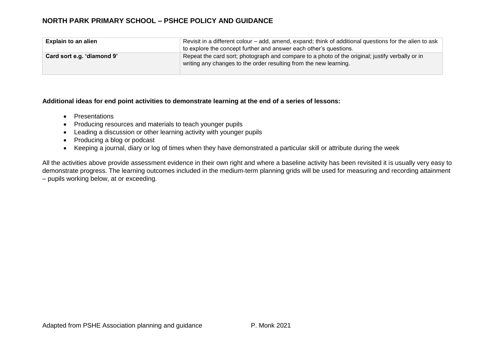| <b>Explain to an alien</b> | Revisit in a different colour – add, amend, expand; think of additional questions for the alien to ask                                                               |  |  |
|----------------------------|----------------------------------------------------------------------------------------------------------------------------------------------------------------------|--|--|
|                            | to explore the concept further and answer each other's questions.                                                                                                    |  |  |
| Card sort e.g. 'diamond 9' | Repeat the card sort; photograph and compare to a photo of the original; justify verbally or in<br>writing any changes to the order resulting from the new learning. |  |  |

#### **Additional ideas for end point activities to demonstrate learning at the end of a series of lessons:**

- Presentations
- Producing resources and materials to teach younger pupils
- Leading a discussion or other learning activity with younger pupils
- Producing a blog or podcast
- Keeping a journal, diary or log of times when they have demonstrated a particular skill or attribute during the week

All the activities above provide assessment evidence in their own right and where a baseline activity has been revisited it is usually very easy to demonstrate progress. The learning outcomes included in the medium-term planning grids will be used for measuring and recording attainment – pupils working below, at or exceeding.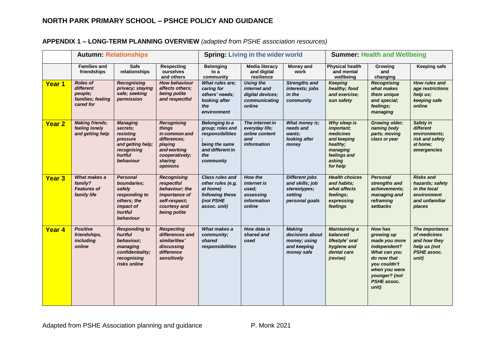## **APPENDIX 1 – LONG-TERM PLANNING OVERVIEW** *(adapted from PSHE association resources)*

|               |                                                                           | <b>Autumn: Relationships</b>                                                                                     |                                                                                                                                  |                                                                                                                         | <b>Spring: Living in the wider world</b>                                         |                                                                                       |                                                                                                                      | <b>Summer: Health and Wellbeing</b>                                                                                                                                           |                                                                                                |
|---------------|---------------------------------------------------------------------------|------------------------------------------------------------------------------------------------------------------|----------------------------------------------------------------------------------------------------------------------------------|-------------------------------------------------------------------------------------------------------------------------|----------------------------------------------------------------------------------|---------------------------------------------------------------------------------------|----------------------------------------------------------------------------------------------------------------------|-------------------------------------------------------------------------------------------------------------------------------------------------------------------------------|------------------------------------------------------------------------------------------------|
|               | <b>Families and</b><br>friendships                                        | Safe<br>relationships                                                                                            | <b>Respecting</b><br>ourselves<br>and others                                                                                     | <b>Belonging</b><br>to a<br>community                                                                                   | <b>Media literacy</b><br>and digital<br>resilience                               | <b>Money and</b><br>work                                                              | <b>Physical health</b><br>and mental<br>wellbeing                                                                    | Growing<br>and<br>changing                                                                                                                                                    | <b>Keeping safe</b>                                                                            |
| Year 1        | <b>Roles of</b><br>different<br>people:<br>families; feeling<br>cared for | <b>Recognising</b><br>privacy; staying<br>safe; seeking<br>permission                                            | <b>How behaviour</b><br>affects others;<br>being polite<br>and respectful                                                        | <b>What rules are:</b><br>caring for<br>others' needs:<br>looking after<br>the<br>environment                           | <b>Using the</b><br>internet and<br>digital devices;<br>communicating<br>online  | <b>Strengths and</b><br>interests; jobs<br>in the<br>community                        | <b>Keeping</b><br>healthy; food<br>and exercise;<br>sun safety                                                       | <b>Recognising</b><br>what makes<br>them unique<br>and special;<br>feelings;<br>managing                                                                                      | How rules and<br>age restrictions<br>help us;<br>keeping safe<br>online                        |
| <b>Year 2</b> | <b>Making friends;</b><br>feeling lonely<br>and getting help              | <b>Managing</b><br>secrets;<br>resisting<br>pressure<br>and getting help;<br>recognising<br>hurtful<br>behaviour | <b>Recognising</b><br>things<br>in common and<br>differences:<br>playing<br>and working<br>cooperatively:<br>sharing<br>opinions | <b>Belonging to a</b><br>group; roles and<br>responsibilities<br>being the same<br>and different in<br>the<br>community | The internet in<br>everyday life;<br>online content<br>and<br><i>information</i> | What money is:<br>needs and<br>wants;<br>looking after<br>money                       | Why sleep is<br>important;<br>medicines<br>and keeping<br>healthy;<br>managing<br>feelings and<br>asking<br>for help | <b>Growing older;</b><br>naming body<br>parts; moving<br>class or year                                                                                                        | Safety in<br>different<br>environments;<br>risk and safety<br>at home:<br>emergencies          |
| <b>Year 3</b> | What makes a<br>family?<br><b>Features of</b><br>family life              | <b>Personal</b><br>boundaries:<br>safely<br>responding to<br>others; the<br>impact of<br>hurtful<br>behaviour    | <b>Recognising</b><br>respectful<br>behaviour; the<br>importance of<br>self-respect;<br>courtesy and<br>being polite             | <b>Class rules and</b><br>other rules (e.g.<br>at home)<br>following these<br>(not PSHE<br>assoc. unit)                 | How the<br><i>internet is</i><br>used;<br>assessing<br>information<br>online     | <b>Different jobs</b><br>and skills; job<br>stereotypes;<br>setting<br>personal goals | <b>Health choices</b><br>and habits;<br>what affects<br>feelings;<br>expressing<br>feelings                          | <b>Personal</b><br>strengths and<br>achievements;<br>managing and<br>reframing<br>setbacks                                                                                    | <b>Risks and</b><br>hazards; safety<br>in the local<br>environment<br>and unfamiliar<br>places |
| Year 4        | <b>Positive</b><br>friendships,<br>including<br>online                    | <b>Responding to</b><br>hurtful<br>behaviour;<br>managing<br>confidentiality;<br>recognising<br>risks online     | <b>Respecting</b><br>differences and<br>similarities'<br>discussing<br>difference<br>sensitively                                 | What makes a<br>community;<br>shared<br>responsibilities                                                                | How data is<br>shared and<br>used                                                | <b>Making</b><br>decisions about<br>money; using<br>and keeping<br>money safe         | <b>Maintaining a</b><br>balanced<br>lifestyle' oral<br>hygiene and<br>dental care<br>(revise)                        | <b>How has</b><br>growing up<br>made you more<br>independent?<br>What can you<br>do now that<br>you couldn't<br>when you were<br>younger? (not<br><b>PSHE</b> assoc.<br>unit) | The importance<br>of medicines<br>and how they<br>help us (not<br>PSHE assoc.<br>unit)         |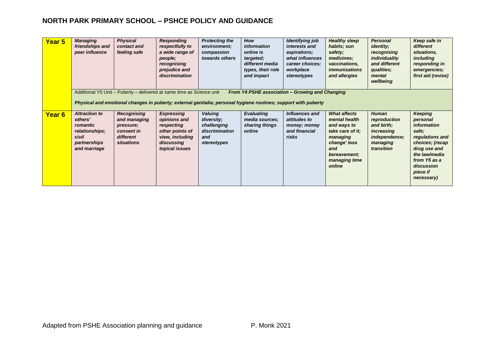| Year 5 | <b>Managing</b><br>friendships and<br>peer influence                                                   | <b>Physical</b><br>contact and<br>feeling safe                                           | <b>Responding</b><br>respectfully to<br>a wide range of<br>people;<br>recognising<br>prejudice and<br>discrimination                                                                    | <b>Protecting the</b><br>environment;<br>compassion<br>towards others               | How<br>information<br>online is<br>targeted;<br>different media<br>types, their role<br>and impact | <b>Identifying job</b><br>interests and<br>aspirations;<br>what influences<br>career choices:<br>workplace<br>stereotypes | <b>Healthy sleep</b><br>habits; sun<br>safety;<br>medicines;<br>vaccinations,<br><i>immunisations</i><br>and allergies                                | <b>Personal</b><br><i>identity</i> ;<br>recognising<br>individuality<br>and different<br>qualities;<br>mental<br>wellbeing | Keep safe in<br>different<br>situations,<br><i>including</i><br>responding in<br>emergencies;<br>first aid (revise)                                                                      |
|--------|--------------------------------------------------------------------------------------------------------|------------------------------------------------------------------------------------------|-----------------------------------------------------------------------------------------------------------------------------------------------------------------------------------------|-------------------------------------------------------------------------------------|----------------------------------------------------------------------------------------------------|---------------------------------------------------------------------------------------------------------------------------|-------------------------------------------------------------------------------------------------------------------------------------------------------|----------------------------------------------------------------------------------------------------------------------------|------------------------------------------------------------------------------------------------------------------------------------------------------------------------------------------|
|        |                                                                                                        |                                                                                          | Additional Y5 Unit - Puberty - delivered at same time as Science unit<br>Physical and emotional changes in puberty; external genitalia; personal hygiene routines; support with puberty |                                                                                     | From Y4 PSHE association - Growing and Changing                                                    |                                                                                                                           |                                                                                                                                                       |                                                                                                                            |                                                                                                                                                                                          |
| Year 6 | <b>Attraction to</b><br>others'<br>romantic<br>relationships;<br>civil<br>partnerships<br>and marriage | Recognising<br>and managing<br>pressure;<br>consent in<br>different<br><i>situations</i> | <b>Expressing</b><br>opinions and<br>respecting<br>other points of<br>view, including<br>discussing<br>topical issues                                                                   | <b>Valuing</b><br>diversity;<br>challenging<br>discrimination<br>and<br>stereotypes | <b>Evaluating</b><br>media sources;<br>sharing things<br>online                                    | Influences and<br>attitudes to<br>money; money<br>and financial<br>risks                                                  | <b>What affects</b><br>mental health<br>and ways to<br>take care of it;<br>managing<br>change' loss<br>and<br>bereavement:<br>managing time<br>online | <b>Human</b><br>reproduction<br>and birth;<br>increasing<br>independence;<br>managing<br>transition                        | <b>Keeping</b><br>personal<br><i>information</i><br>safe;<br>regulations and<br>choices; (recap<br>drug use and<br>the law/media<br>from Y5 as a<br>discussion<br>piece if<br>necessary) |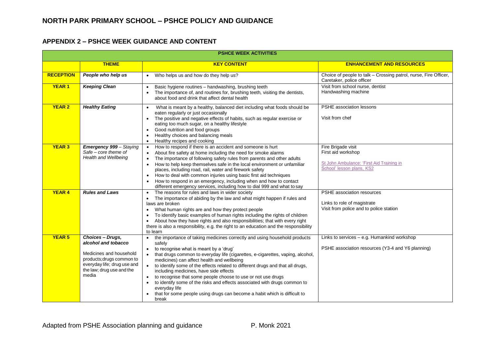## **APPENDIX 2 – PSHCE WEEK GUIDANCE AND CONTENT**

|                  | <b>PSHCE WEEK ACTIVITIES</b>                                                                                                                                         |                                                                                                                                                                                                                                                                                                                                                                                                                                                                                                                                                                                                                                                                         |                                                                                                                    |  |  |  |  |
|------------------|----------------------------------------------------------------------------------------------------------------------------------------------------------------------|-------------------------------------------------------------------------------------------------------------------------------------------------------------------------------------------------------------------------------------------------------------------------------------------------------------------------------------------------------------------------------------------------------------------------------------------------------------------------------------------------------------------------------------------------------------------------------------------------------------------------------------------------------------------------|--------------------------------------------------------------------------------------------------------------------|--|--|--|--|
|                  | <b>THEME</b>                                                                                                                                                         | <b>KEY CONTENT</b>                                                                                                                                                                                                                                                                                                                                                                                                                                                                                                                                                                                                                                                      | <b>ENHANCEMENT AND RESOURCES</b>                                                                                   |  |  |  |  |
| <b>RECEPTION</b> | People who help us                                                                                                                                                   | Who helps us and how do they help us?                                                                                                                                                                                                                                                                                                                                                                                                                                                                                                                                                                                                                                   | Choice of people to talk - Crossing patrol, nurse, Fire Officer,<br>Caretaker, police officer                      |  |  |  |  |
| <b>YEAR1</b>     | <b>Keeping Clean</b>                                                                                                                                                 | Basic hygiene routines - handwashing, brushing teeth<br>The importance of, and routines for, brushing teeth, visiting the dentists,<br>about food and drink that affect dental health                                                                                                                                                                                                                                                                                                                                                                                                                                                                                   | Visit from school nurse, dentist<br>Handwashing machine                                                            |  |  |  |  |
| <b>YEAR 2</b>    | <b>Healthy Eating</b>                                                                                                                                                | What is meant by a healthy, balanced diet including what foods should be<br>$\bullet$<br>eaten regularly or just occasionally<br>The positive and negative effects of habits, such as regular exercise or<br>$\bullet$<br>eating too much sugar, on a healthy lifestyle<br>Good nutrition and food groups<br>Healthy choices and balancing meals<br>Healthy recipes and cooking<br>$\bullet$                                                                                                                                                                                                                                                                            | PSHE association lessons<br>Visit from chef                                                                        |  |  |  |  |
| <b>YEAR 3</b>    | <b>Emergency 999 - Staying</b><br>Safe - core theme of<br>Health and Wellbeing                                                                                       | How to respond if there is an accident and someone is hurt<br>About fire safety at home including the need for smoke alarms<br>The importance of following safety rules from parents and other adults<br>How to help keep themselves safe in the local environment or unfamiliar<br>places, including road, rail, water and firework safety<br>How to deal with common injuries using basic first aid techniques<br>$\bullet$<br>How to respond in an emergency, including when and how to contact<br>different emergency services, including how to dial 999 and what to say                                                                                           | Fire Brigade visit<br>First aid workshop<br>St John Ambulance: 'First Aid Training in<br>School' lesson plans, KS2 |  |  |  |  |
| <b>YEAR 4</b>    | <b>Rules and Laws</b>                                                                                                                                                | The reasons for rules and laws in wider society<br>The importance of abiding by the law and what might happen if rules and<br>laws are broken<br>What human rights are and how they protect people<br>$\bullet$<br>To identify basic examples of human rights including the rights of children<br>About how they have rights and also responsibilities; that with every right<br>$\bullet$<br>there is also a responsibility, e.g. the right to an education and the responsibility<br>to learn                                                                                                                                                                         | PSHE association resources<br>Links to role of magistrate<br>Visit from police and to police station               |  |  |  |  |
| <b>YEAR 5</b>    | Choices - Drugs,<br>alcohol and tobacco<br>Medicines and household<br>products; drugs common to<br>everyday life; drug use and<br>the law; drug use and the<br>media | the importance of taking medicines correctly and using household products<br>$\bullet$<br>safely<br>to recognise what is meant by a 'drug'<br>$\bullet$<br>that drugs common to everyday life (cigarettes, e-cigarettes, vaping, alcohol,<br>medicines) can affect health and wellbeing<br>to identify some of the effects related to different drugs and that all drugs,<br>including medicines, have side effects<br>to recognise that some people choose to use or not use drugs<br>to identify some of the risks and effects associated with drugs common to<br>everyday life<br>that for some people using drugs can become a habit which is difficult to<br>break | Links to services - e.g. Humankind workshop<br>PSHE association resources (Y3-4 and Y6 planning)                   |  |  |  |  |